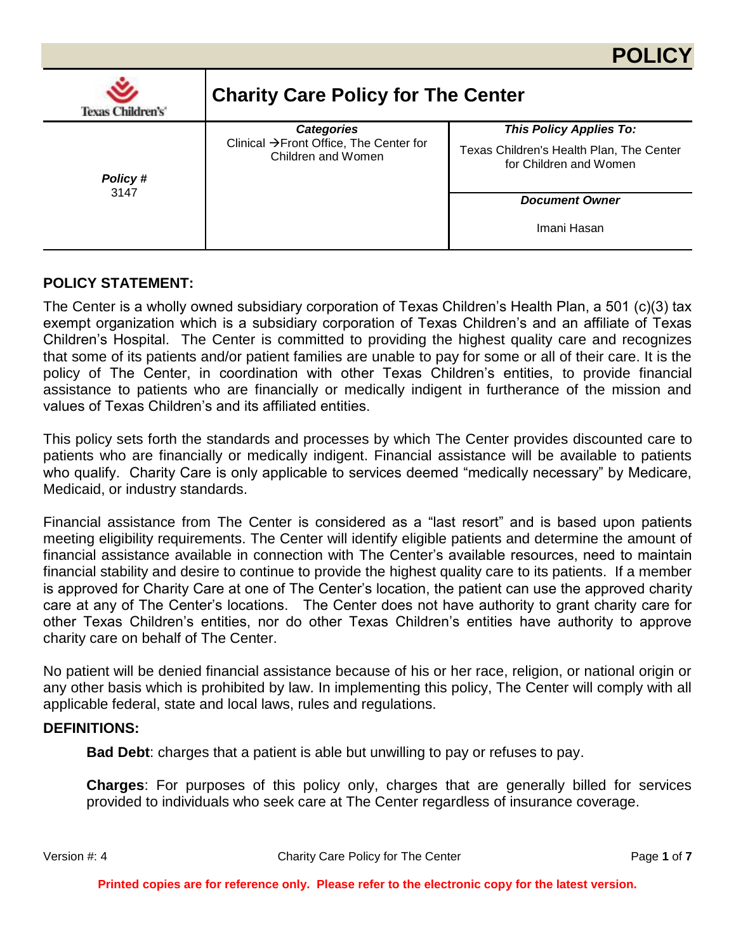

### **POLICY STATEMENT:**

The Center is a wholly owned subsidiary corporation of Texas Children's Health Plan, a 501 (c)(3) tax exempt organization which is a subsidiary corporation of Texas Children's and an affiliate of Texas Children's Hospital. The Center is committed to providing the highest quality care and recognizes that some of its patients and/or patient families are unable to pay for some or all of their care. It is the policy of The Center, in coordination with other Texas Children's entities, to provide financial assistance to patients who are financially or medically indigent in furtherance of the mission and values of Texas Children's and its affiliated entities.

This policy sets forth the standards and processes by which The Center provides discounted care to patients who are financially or medically indigent. Financial assistance will be available to patients who qualify. Charity Care is only applicable to services deemed "medically necessary" by Medicare, Medicaid, or industry standards.

Financial assistance from The Center is considered as a "last resort" and is based upon patients meeting eligibility requirements. The Center will identify eligible patients and determine the amount of financial assistance available in connection with The Center's available resources, need to maintain financial stability and desire to continue to provide the highest quality care to its patients. If a member is approved for Charity Care at one of The Center's location, the patient can use the approved charity care at any of The Center's locations. The Center does not have authority to grant charity care for other Texas Children's entities, nor do other Texas Children's entities have authority to approve charity care on behalf of The Center.

No patient will be denied financial assistance because of his or her race, religion, or national origin or any other basis which is prohibited by law. In implementing this policy, The Center will comply with all applicable federal, state and local laws, rules and regulations.

#### **DEFINITIONS:**

**Bad Debt**: charges that a patient is able but unwilling to pay or refuses to pay.

**Charges**: For purposes of this policy only, charges that are generally billed for services provided to individuals who seek care at The Center regardless of insurance coverage.

Version #: 4 Charity Care Policy for The Center Page **1** of **7**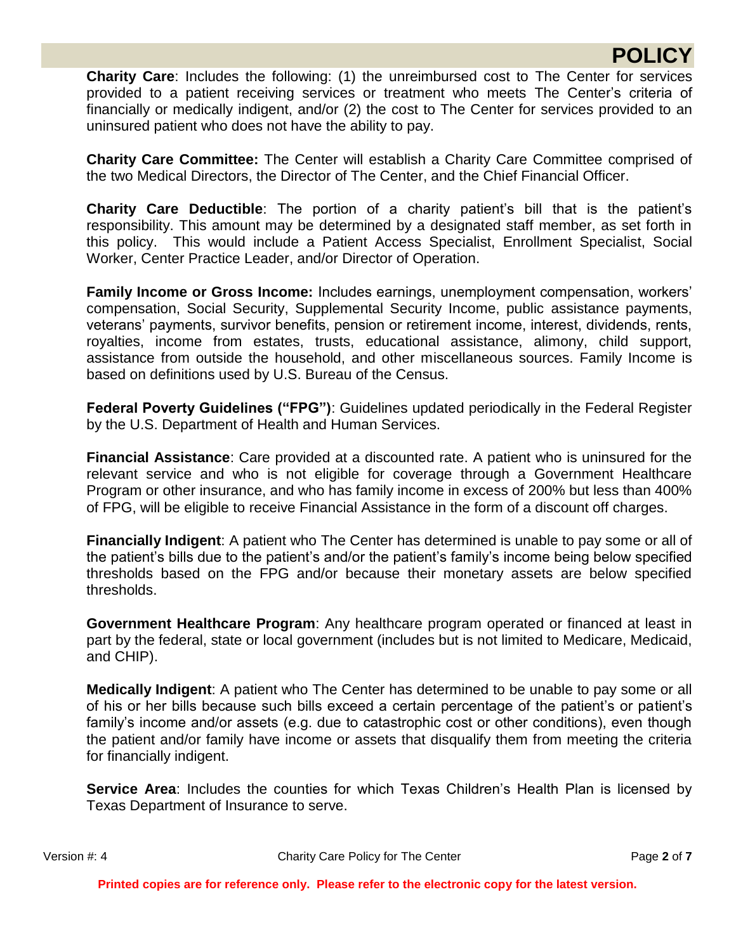# **POLICY**

**Charity Care**: Includes the following: (1) the unreimbursed cost to The Center for services provided to a patient receiving services or treatment who meets The Center's criteria of financially or medically indigent, and/or (2) the cost to The Center for services provided to an uninsured patient who does not have the ability to pay.

**Charity Care Committee:** The Center will establish a Charity Care Committee comprised of the two Medical Directors, the Director of The Center, and the Chief Financial Officer.

**Charity Care Deductible**: The portion of a charity patient's bill that is the patient's responsibility. This amount may be determined by a designated staff member, as set forth in this policy. This would include a Patient Access Specialist, Enrollment Specialist, Social Worker, Center Practice Leader, and/or Director of Operation.

**Family Income or Gross Income:** Includes earnings, unemployment compensation, workers' compensation, Social Security, Supplemental Security Income, public assistance payments, veterans' payments, survivor benefits, pension or retirement income, interest, dividends, rents, royalties, income from estates, trusts, educational assistance, alimony, child support, assistance from outside the household, and other miscellaneous sources. Family Income is based on definitions used by U.S. Bureau of the Census.

**Federal Poverty Guidelines ("FPG")**: Guidelines updated periodically in the Federal Register by the U.S. Department of Health and Human Services.

**Financial Assistance**: Care provided at a discounted rate. A patient who is uninsured for the relevant service and who is not eligible for coverage through a Government Healthcare Program or other insurance, and who has family income in excess of 200% but less than 400% of FPG, will be eligible to receive Financial Assistance in the form of a discount off charges.

**Financially Indigent**: A patient who The Center has determined is unable to pay some or all of the patient's bills due to the patient's and/or the patient's family's income being below specified thresholds based on the FPG and/or because their monetary assets are below specified thresholds.

**Government Healthcare Program**: Any healthcare program operated or financed at least in part by the federal, state or local government (includes but is not limited to Medicare, Medicaid, and CHIP).

**Medically Indigent**: A patient who The Center has determined to be unable to pay some or all of his or her bills because such bills exceed a certain percentage of the patient's or patient's family's income and/or assets (e.g. due to catastrophic cost or other conditions), even though the patient and/or family have income or assets that disqualify them from meeting the criteria for financially indigent.

**Service Area**: Includes the counties for which Texas Children's Health Plan is licensed by Texas Department of Insurance to serve.

Version #: 4 Charity Care Policy for The Center **Page 2** of **7**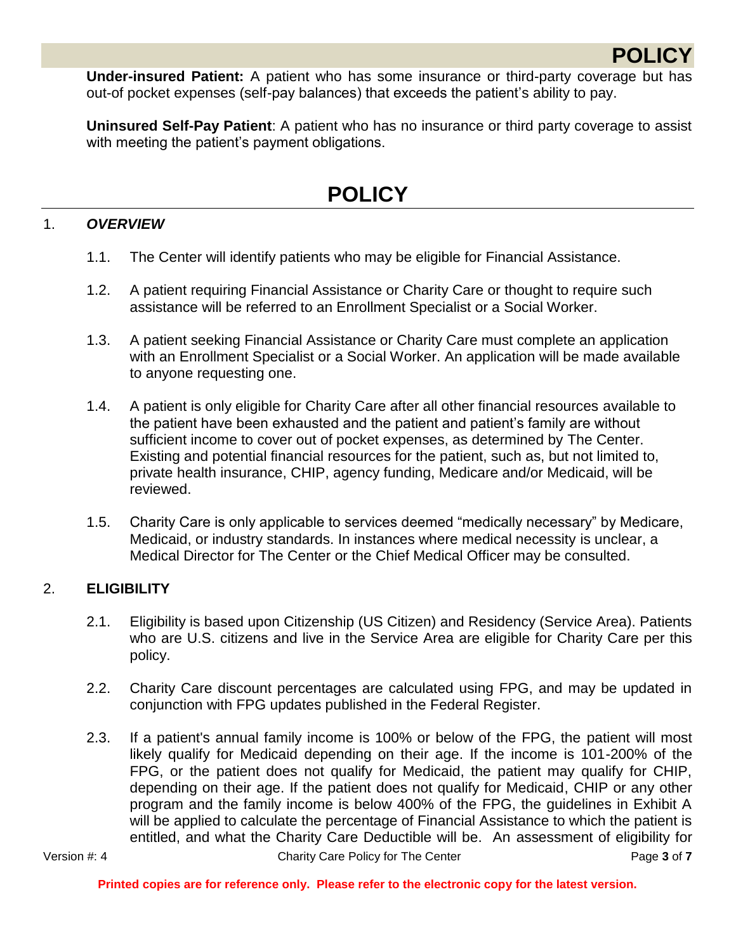**POLIC** 

**Under-insured Patient:** A patient who has some insurance or third-party coverage but has out-of pocket expenses (self-pay balances) that exceeds the patient's ability to pay.

**Uninsured Self-Pay Patient**: A patient who has no insurance or third party coverage to assist with meeting the patient's payment obligations.

# **POLICY**

# 1. *OVERVIEW*

- 1.1. The Center will identify patients who may be eligible for Financial Assistance.
- 1.2. A patient requiring Financial Assistance or Charity Care or thought to require such assistance will be referred to an Enrollment Specialist or a Social Worker.
- 1.3. A patient seeking Financial Assistance or Charity Care must complete an application with an Enrollment Specialist or a Social Worker. An application will be made available to anyone requesting one.
- 1.4. A patient is only eligible for Charity Care after all other financial resources available to the patient have been exhausted and the patient and patient's family are without sufficient income to cover out of pocket expenses, as determined by The Center. Existing and potential financial resources for the patient, such as, but not limited to, private health insurance, CHIP, agency funding, Medicare and/or Medicaid, will be reviewed.
- 1.5. Charity Care is only applicable to services deemed "medically necessary" by Medicare, Medicaid, or industry standards. In instances where medical necessity is unclear, a Medical Director for The Center or the Chief Medical Officer may be consulted.

### 2. **ELIGIBILITY**

- 2.1. Eligibility is based upon Citizenship (US Citizen) and Residency (Service Area). Patients who are U.S. citizens and live in the Service Area are eligible for Charity Care per this policy.
- 2.2. Charity Care discount percentages are calculated using FPG, and may be updated in conjunction with FPG updates published in the Federal Register.
- 2.3. If a patient's annual family income is 100% or below of the FPG, the patient will most likely qualify for Medicaid depending on their age. If the income is 101-200% of the FPG, or the patient does not qualify for Medicaid, the patient may qualify for CHIP, depending on their age. If the patient does not qualify for Medicaid, CHIP or any other program and the family income is below 400% of the FPG, the guidelines in Exhibit A will be applied to calculate the percentage of Financial Assistance to which the patient is entitled, and what the Charity Care Deductible will be. An assessment of eligibility for

Version #: 4 Charity Care Policy for The Center **Page 3** of **7**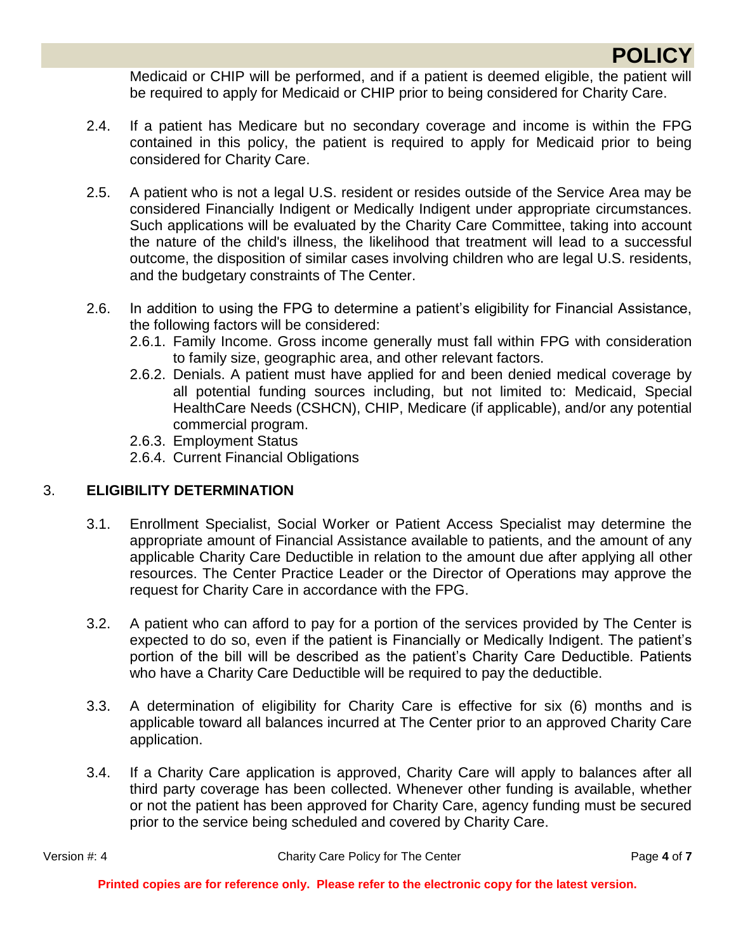

Medicaid or CHIP will be performed, and if a patient is deemed eligible, the patient will be required to apply for Medicaid or CHIP prior to being considered for Charity Care.

- 2.4. If a patient has Medicare but no secondary coverage and income is within the FPG contained in this policy, the patient is required to apply for Medicaid prior to being considered for Charity Care.
- 2.5. A patient who is not a legal U.S. resident or resides outside of the Service Area may be considered Financially Indigent or Medically Indigent under appropriate circumstances. Such applications will be evaluated by the Charity Care Committee, taking into account the nature of the child's illness, the likelihood that treatment will lead to a successful outcome, the disposition of similar cases involving children who are legal U.S. residents, and the budgetary constraints of The Center.
- 2.6. In addition to using the FPG to determine a patient's eligibility for Financial Assistance, the following factors will be considered:
	- 2.6.1. Family Income. Gross income generally must fall within FPG with consideration to family size, geographic area, and other relevant factors.
	- 2.6.2. Denials. A patient must have applied for and been denied medical coverage by all potential funding sources including, but not limited to: Medicaid, Special HealthCare Needs (CSHCN), CHIP, Medicare (if applicable), and/or any potential commercial program.
	- 2.6.3. Employment Status
	- 2.6.4. Current Financial Obligations

# 3. **ELIGIBILITY DETERMINATION**

- 3.1. Enrollment Specialist, Social Worker or Patient Access Specialist may determine the appropriate amount of Financial Assistance available to patients, and the amount of any applicable Charity Care Deductible in relation to the amount due after applying all other resources. The Center Practice Leader or the Director of Operations may approve the request for Charity Care in accordance with the FPG.
- 3.2. A patient who can afford to pay for a portion of the services provided by The Center is expected to do so, even if the patient is Financially or Medically Indigent. The patient's portion of the bill will be described as the patient's Charity Care Deductible. Patients who have a Charity Care Deductible will be required to pay the deductible.
- 3.3. A determination of eligibility for Charity Care is effective for six (6) months and is applicable toward all balances incurred at The Center prior to an approved Charity Care application.
- 3.4. If a Charity Care application is approved, Charity Care will apply to balances after all third party coverage has been collected. Whenever other funding is available, whether or not the patient has been approved for Charity Care, agency funding must be secured prior to the service being scheduled and covered by Charity Care.

Version #: 4 Charity Care Policy for The Center **Page 4** of **7**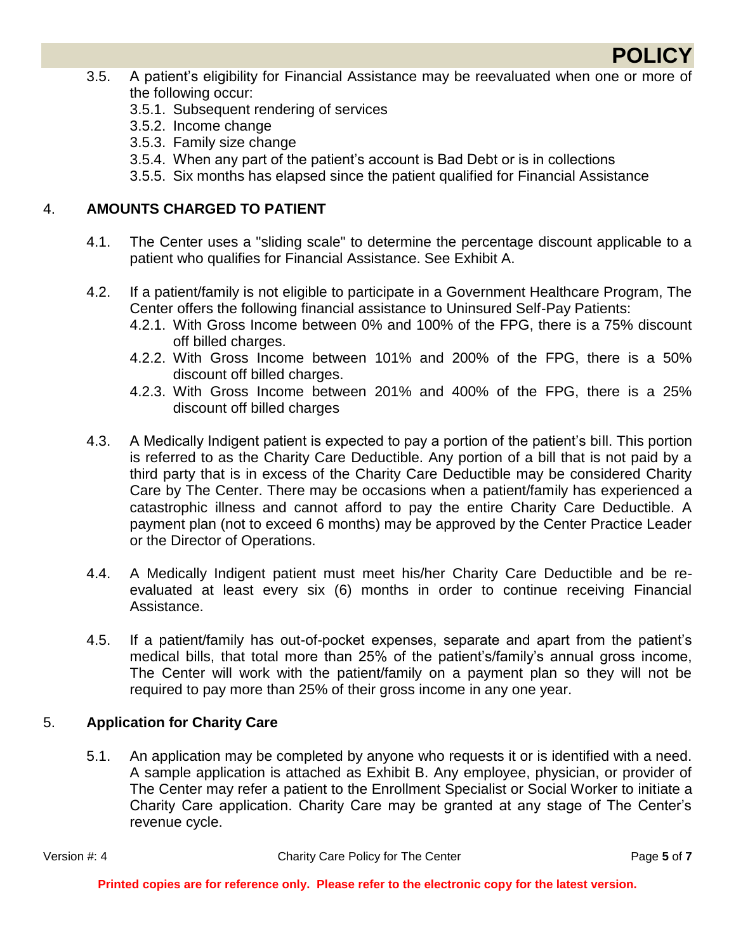

- 3.5. A patient's eligibility for Financial Assistance may be reevaluated when one or more of the following occur:
	- 3.5.1. Subsequent rendering of services
	- 3.5.2. Income change
	- 3.5.3. Family size change
	- 3.5.4. When any part of the patient's account is Bad Debt or is in collections
	- 3.5.5. Six months has elapsed since the patient qualified for Financial Assistance

## 4. **AMOUNTS CHARGED TO PATIENT**

- 4.1. The Center uses a "sliding scale" to determine the percentage discount applicable to a patient who qualifies for Financial Assistance. See Exhibit A.
- 4.2. If a patient/family is not eligible to participate in a Government Healthcare Program, The Center offers the following financial assistance to Uninsured Self-Pay Patients:
	- 4.2.1. With Gross Income between 0% and 100% of the FPG, there is a 75% discount off billed charges.
	- 4.2.2. With Gross Income between 101% and 200% of the FPG, there is a 50% discount off billed charges.
	- 4.2.3. With Gross Income between 201% and 400% of the FPG, there is a 25% discount off billed charges
- 4.3. A Medically Indigent patient is expected to pay a portion of the patient's bill. This portion is referred to as the Charity Care Deductible. Any portion of a bill that is not paid by a third party that is in excess of the Charity Care Deductible may be considered Charity Care by The Center. There may be occasions when a patient/family has experienced a catastrophic illness and cannot afford to pay the entire Charity Care Deductible. A payment plan (not to exceed 6 months) may be approved by the Center Practice Leader or the Director of Operations.
- 4.4. A Medically Indigent patient must meet his/her Charity Care Deductible and be reevaluated at least every six (6) months in order to continue receiving Financial Assistance.
- 4.5. If a patient/family has out-of-pocket expenses, separate and apart from the patient's medical bills, that total more than 25% of the patient's/family's annual gross income, The Center will work with the patient/family on a payment plan so they will not be required to pay more than 25% of their gross income in any one year.

### 5. **Application for Charity Care**

5.1. An application may be completed by anyone who requests it or is identified with a need. A sample application is attached as Exhibit B. Any employee, physician, or provider of The Center may refer a patient to the Enrollment Specialist or Social Worker to initiate a Charity Care application. Charity Care may be granted at any stage of The Center's revenue cycle.

Version #: 4 Charity Care Policy for The Center **Page 5** of **7**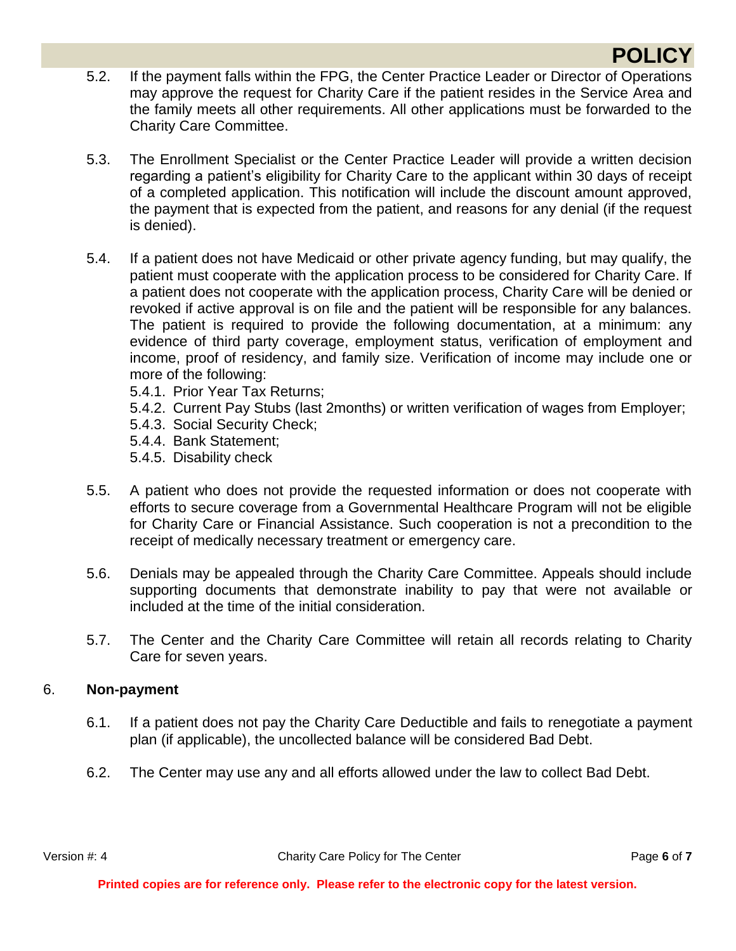# **POLICY**

- 5.2. If the payment falls within the FPG, the Center Practice Leader or Director of Operations may approve the request for Charity Care if the patient resides in the Service Area and the family meets all other requirements. All other applications must be forwarded to the Charity Care Committee.
- 5.3. The Enrollment Specialist or the Center Practice Leader will provide a written decision regarding a patient's eligibility for Charity Care to the applicant within 30 days of receipt of a completed application. This notification will include the discount amount approved, the payment that is expected from the patient, and reasons for any denial (if the request is denied).
- 5.4. If a patient does not have Medicaid or other private agency funding, but may qualify, the patient must cooperate with the application process to be considered for Charity Care. If a patient does not cooperate with the application process, Charity Care will be denied or revoked if active approval is on file and the patient will be responsible for any balances. The patient is required to provide the following documentation, at a minimum: any evidence of third party coverage, employment status, verification of employment and income, proof of residency, and family size. Verification of income may include one or more of the following:
	- 5.4.1. Prior Year Tax Returns;
	- 5.4.2. Current Pay Stubs (last 2months) or written verification of wages from Employer;
	- 5.4.3. Social Security Check;
	- 5.4.4. Bank Statement;
	- 5.4.5. Disability check
- 5.5. A patient who does not provide the requested information or does not cooperate with efforts to secure coverage from a Governmental Healthcare Program will not be eligible for Charity Care or Financial Assistance. Such cooperation is not a precondition to the receipt of medically necessary treatment or emergency care.
- 5.6. Denials may be appealed through the Charity Care Committee. Appeals should include supporting documents that demonstrate inability to pay that were not available or included at the time of the initial consideration.
- 5.7. The Center and the Charity Care Committee will retain all records relating to Charity Care for seven years.

### 6. **Non-payment**

- 6.1. If a patient does not pay the Charity Care Deductible and fails to renegotiate a payment plan (if applicable), the uncollected balance will be considered Bad Debt.
- 6.2. The Center may use any and all efforts allowed under the law to collect Bad Debt.